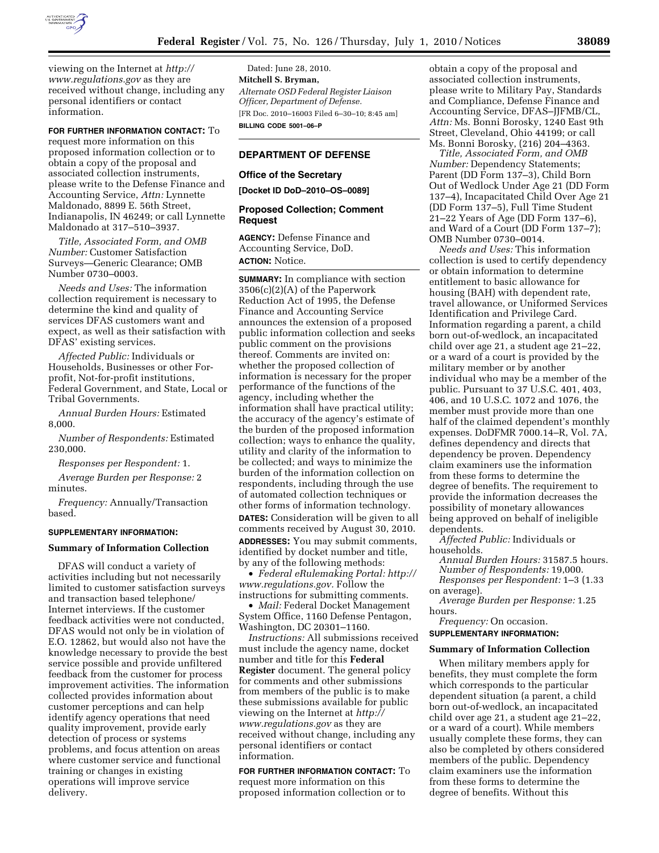

viewing on the Internet at *http:// www.regulations.gov* as they are received without change, including any personal identifiers or contact information.

# **FOR FURTHER INFORMATION CONTACT:** To

request more information on this proposed information collection or to obtain a copy of the proposal and associated collection instruments, please write to the Defense Finance and Accounting Service, *Attn:* Lynnette Maldonado, 8899 E. 56th Street, Indianapolis, IN 46249; or call Lynnette Maldonado at 317–510–3937.

*Title, Associated Form, and OMB Number:* Customer Satisfaction Surveys—Generic Clearance; OMB Number 0730–0003.

*Needs and Uses:* The information collection requirement is necessary to determine the kind and quality of services DFAS customers want and expect, as well as their satisfaction with DFAS' existing services.

*Affected Public:* Individuals or Households, Businesses or other Forprofit, Not-for-profit institutions, Federal Government, and State, Local or Tribal Governments.

*Annual Burden Hours:* Estimated 8,000.

*Number of Respondents:* Estimated 230,000.

*Responses per Respondent:* 1.

*Average Burden per Response:* 2 minutes.

*Frequency:* Annually/Transaction based.

## **SUPPLEMENTARY INFORMATION:**

#### **Summary of Information Collection**

DFAS will conduct a variety of activities including but not necessarily limited to customer satisfaction surveys and transaction based telephone/ Internet interviews. If the customer feedback activities were not conducted, DFAS would not only be in violation of E.O. 12862, but would also not have the knowledge necessary to provide the best service possible and provide unfiltered feedback from the customer for process improvement activities. The information collected provides information about customer perceptions and can help identify agency operations that need quality improvement, provide early detection of process or systems problems, and focus attention on areas where customer service and functional training or changes in existing operations will improve service delivery.

Dated: June 28, 2010. **Mitchell S. Bryman,**  *Alternate OSD Federal Register Liaison Officer, Department of Defense.*  [FR Doc. 2010–16003 Filed 6–30–10; 8:45 am] **BILLING CODE 5001–06–P** 

# **DEPARTMENT OF DEFENSE**

#### **Office of the Secretary**

**[Docket ID DoD–2010–OS–0089]** 

# **Proposed Collection; Comment Request**

**AGENCY:** Defense Finance and Accounting Service, DoD. **ACTION:** Notice.

**SUMMARY:** In compliance with section 3506(c)(2)(A) of the Paperwork Reduction Act of 1995, the Defense Finance and Accounting Service announces the extension of a proposed public information collection and seeks public comment on the provisions thereof. Comments are invited on: whether the proposed collection of information is necessary for the proper performance of the functions of the agency, including whether the information shall have practical utility; the accuracy of the agency's estimate of the burden of the proposed information collection; ways to enhance the quality, utility and clarity of the information to be collected; and ways to minimize the burden of the information collection on respondents, including through the use of automated collection techniques or other forms of information technology. **DATES:** Consideration will be given to all comments received by August 30, 2010. **ADDRESSES:** You may submit comments, identified by docket number and title, by any of the following methods:

• *Federal eRulemaking Portal: http:// www.regulations.gov.* Follow the instructions for submitting comments.

• *Mail:* Federal Docket Management System Office, 1160 Defense Pentagon, Washington, DC 20301–1160.

*Instructions:* All submissions received must include the agency name, docket number and title for this **Federal Register** document. The general policy for comments and other submissions from members of the public is to make these submissions available for public viewing on the Internet at *http:// www.regulations.gov* as they are received without change, including any personal identifiers or contact information.

**FOR FURTHER INFORMATION CONTACT:** To request more information on this proposed information collection or to

obtain a copy of the proposal and associated collection instruments, please write to Military Pay, Standards and Compliance, Defense Finance and Accounting Service, DFAS–JJFMB/CL, *Attn:* Ms. Bonni Borosky, 1240 East 9th Street, Cleveland, Ohio 44199; or call Ms. Bonni Borosky, (216) 204–4363.

*Title, Associated Form, and OMB Number:* Dependency Statements; Parent (DD Form 137–3), Child Born Out of Wedlock Under Age 21 (DD Form 137–4), Incapacitated Child Over Age 21 (DD Form 137–5), Full Time Student 21–22 Years of Age (DD Form 137–6), and Ward of a Court (DD Form 137–7); OMB Number 0730–0014.

*Needs and Uses:* This information collection is used to certify dependency or obtain information to determine entitlement to basic allowance for housing (BAH) with dependent rate, travel allowance, or Uniformed Services Identification and Privilege Card. Information regarding a parent, a child born out-of-wedlock, an incapacitated child over age 21, a student age 21–22, or a ward of a court is provided by the military member or by another individual who may be a member of the public. Pursuant to 37 U.S.C. 401, 403, 406, and 10 U.S.C. 1072 and 1076, the member must provide more than one half of the claimed dependent's monthly expenses. DoDFMR 7000.14–R, Vol. 7A, defines dependency and directs that dependency be proven. Dependency claim examiners use the information from these forms to determine the degree of benefits. The requirement to provide the information decreases the possibility of monetary allowances being approved on behalf of ineligible dependents.

*Affected Public:* Individuals or households.

*Annual Burden Hours:* 31587.5 hours. *Number of Respondents:* 19,000. *Responses per Respondent:* 1–3 (1.33 on average).

*Average Burden per Response:* 1.25 hours.

*Frequency:* On occasion.

#### **SUPPLEMENTARY INFORMATION:**

## **Summary of Information Collection**

When military members apply for benefits, they must complete the form which corresponds to the particular dependent situation (a parent, a child born out-of-wedlock, an incapacitated child over age 21, a student age 21–22, or a ward of a court). While members usually complete these forms, they can also be completed by others considered members of the public. Dependency claim examiners use the information from these forms to determine the degree of benefits. Without this